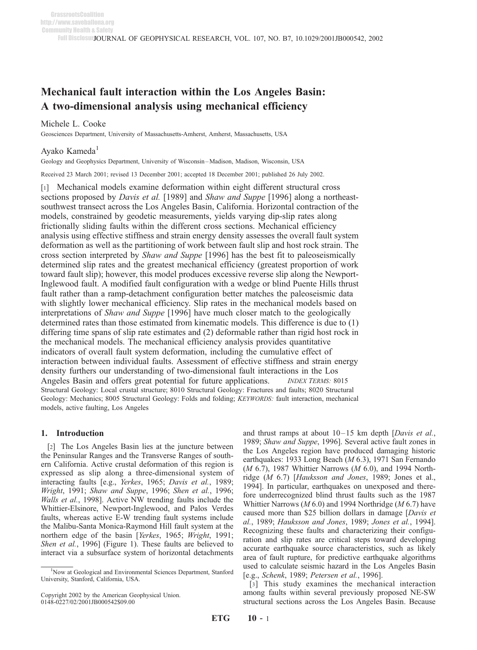# Mechanical fault interaction within the Los Angeles Basin: A two-dimensional analysis using mechanical efficiency

Michele L. Cooke

Geosciences Department, University of Massachusetts-Amherst, Amherst, Massachusetts, USA

## Ayako Kameda<sup>1</sup>

Geology and Geophysics Department, University of Wisconsin –Madison, Madison, Wisconsin, USA

Received 23 March 2001; revised 13 December 2001; accepted 18 December 2001; published 26 July 2002.

[1] Mechanical models examine deformation within eight different structural cross sections proposed by *Davis et al.* [1989] and *Shaw and Suppe* [1996] along a northeastsouthwest transect across the Los Angeles Basin, California. Horizontal contraction of the models, constrained by geodetic measurements, yields varying dip-slip rates along frictionally sliding faults within the different cross sections. Mechanical efficiency analysis using effective stiffness and strain energy density assesses the overall fault system deformation as well as the partitioning of work between fault slip and host rock strain. The cross section interpreted by *Shaw and Suppe* [1996] has the best fit to paleoseismically determined slip rates and the greatest mechanical efficiency (greatest proportion of work toward fault slip); however, this model produces excessive reverse slip along the Newport-Inglewood fault. A modified fault configuration with a wedge or blind Puente Hills thrust fault rather than a ramp-detachment configuration better matches the paleoseismic data with slightly lower mechanical efficiency. Slip rates in the mechanical models based on interpretations of Shaw and Suppe [1996] have much closer match to the geologically determined rates than those estimated from kinematic models. This difference is due to (1) differing time spans of slip rate estimates and (2) deformable rather than rigid host rock in the mechanical models. The mechanical efficiency analysis provides quantitative indicators of overall fault system deformation, including the cumulative effect of interaction between individual faults. Assessment of effective stiffness and strain energy density furthers our understanding of two-dimensional fault interactions in the Los Angeles Basin and offers great potential for future applications. *INDEX TERMS:* 8015 Structural Geology: Local crustal structure; 8010 Structural Geology: Fractures and faults; 8020 Structural Geology: Mechanics; 8005 Structural Geology: Folds and folding; KEYWORDS: fault interaction, mechanical models, active faulting, Los Angeles

## 1. Introduction

[2] The Los Angeles Basin lies at the juncture between the Peninsular Ranges and the Transverse Ranges of southern California. Active crustal deformation of this region is expressed as slip along a three-dimensional system of interacting faults [e.g., Yerkes, 1965; Davis et al., 1989; Wright, 1991; Shaw and Suppe, 1996; Shen et al., 1996; Walls et al., 1998]. Active NW trending faults include the Whittier-Elsinore, Newport-Inglewood, and Palos Verdes faults, whereas active E-W trending fault systems include the Malibu-Santa Monica-Raymond Hill fault system at the northern edge of the basin [Yerkes, 1965; Wright, 1991; Shen et al., 1996] (Figure 1). These faults are believed to interact via a subsurface system of horizontal detachments

Copyright 2002 by the American Geophysical Union. 0148-0227/02/2001JB000542\$09.00

and thrust ramps at about  $10-15$  km depth [Davis et al., 1989; Shaw and Suppe, 1996]. Several active fault zones in the Los Angeles region have produced damaging historic earthquakes: 1933 Long Beach (M 6.3), 1971 San Fernando (*M* 6.7), 1987 Whittier Narrows (*M* 6.0), and 1994 Northridge (M 6.7) [Hauksson and Jones, 1989; Jones et al., 1994]. In particular, earthquakes on unexposed and therefore underrecognized blind thrust faults such as the 1987 Whittier Narrows ( $M$  6.0) and 1994 Northridge ( $M$  6.7) have caused more than \$25 billion dollars in damage [Davis et al., 1989; Hauksson and Jones, 1989; Jones et al., 1994]. Recognizing these faults and characterizing their configuration and slip rates are critical steps toward developing accurate earthquake source characteristics, such as likely area of fault rupture, for predictive earthquake algorithms used to calculate seismic hazard in the Los Angeles Basin [e.g., Schenk, 1989; Petersen et al., 1996].

[3] This study examines the mechanical interaction among faults within several previously proposed NE-SW structural sections across the Los Angeles Basin. Because

<sup>&</sup>lt;sup>1</sup>Now at Geological and Environmental Sciences Department, Stanford University, Stanford, California, USA.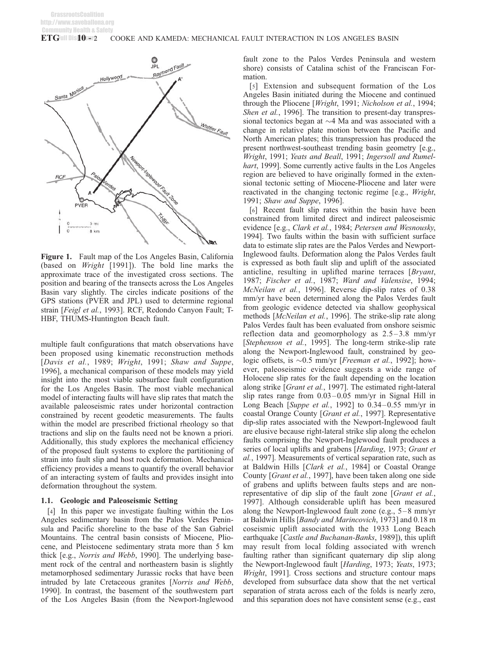$ETG$ ull Dis $10 - 2$ 

COOKE AND KAMEDA: MECHANICAL FAULT INTERACTION IN LOS ANGELES BASIN



Figure 1. Fault map of the Los Angeles Basin, California (based on Wright [1991]). The bold line marks the approximate trace of the investigated cross sections. The position and bearing of the transects across the Los Angeles Basin vary slightly. The circles indicate positions of the GPS stations (PVER and JPL) used to determine regional strain [Feigl et al., 1993]. RCF, Redondo Canyon Fault; T-HBF, THUMS-Huntington Beach fault.

multiple fault configurations that match observations have been proposed using kinematic reconstruction methods [Davis et al., 1989; Wright, 1991; Shaw and Suppe, 1996], a mechanical comparison of these models may yield insight into the most viable subsurface fault configuration for the Los Angeles Basin. The most viable mechanical model of interacting faults will have slip rates that match the available paleoseismic rates under horizontal contraction constrained by recent geodetic measurements. The faults within the model are prescribed frictional rheology so that tractions and slip on the faults need not be known a priori. Additionally, this study explores the mechanical efficiency of the proposed fault systems to explore the partitioning of strain into fault slip and host rock deformation. Mechanical efficiency provides a means to quantify the overall behavior of an interacting system of faults and provides insight into deformation throughout the system.

## 1.1. Geologic and Paleoseismic Setting

[4] In this paper we investigate faulting within the Los Angeles sedimentary basin from the Palos Verdes Peninsula and Pacific shoreline to the base of the San Gabriel Mountains. The central basin consists of Miocene, Pliocene, and Pleistocene sedimentary strata more than 5 km thick [e.g., Norris and Webb, 1990]. The underlying basement rock of the central and northeastern basin is slightly metamorphosed sedimentary Jurassic rocks that have been intruded by late Cretaceous granites [Norris and Webb, 1990]. In contrast, the basement of the southwestern part of the Los Angeles Basin (from the Newport-Inglewood

fault zone to the Palos Verdes Peninsula and western shore) consists of Catalina schist of the Franciscan Formation.

[5] Extension and subsequent formation of the Los Angeles Basin initiated during the Miocene and continued through the Pliocene [Wright, 1991; Nicholson et al., 1994; Shen et al., 1996]. The transition to present-day transpressional tectonics began at  $\sim$ 4 Ma and was associated with a change in relative plate motion between the Pacific and North American plates; this transpression has produced the present northwest-southeast trending basin geometry [e.g., Wright, 1991; Yeats and Beall, 1991; Ingersoll and Rumelhart, 1999]. Some currently active faults in the Los Angeles region are believed to have originally formed in the extensional tectonic setting of Miocene-Pliocene and later were reactivated in the changing tectonic regime [e.g., Wright, 1991; Shaw and Suppe, 1996].

[6] Recent fault slip rates within the basin have been constrained from limited direct and indirect paleoseismic evidence [e.g., Clark et al., 1984; Petersen and Wesnousky, 1994]. Two faults within the basin with sufficient surface data to estimate slip rates are the Palos Verdes and Newport-Inglewood faults. Deformation along the Palos Verdes fault is expressed as both fault slip and uplift of the associated anticline, resulting in uplifted marine terraces [Bryant, 1987; Fischer et al., 1987; Ward and Valensise, 1994; McNeilan et al., 1996]. Reverse dip-slip rates of 0.38 mm/yr have been determined along the Palos Verdes fault from geologic evidence detected via shallow geophysical methods [McNeilan et al., 1996]. The strike-slip rate along Palos Verdes fault has been evaluated from onshore seismic reflection data and geomorphology as  $2.5 - 3.8$  mm/yr [Stephenson et al., 1995]. The long-term strike-slip rate along the Newport-Inglewood fault, constrained by geologic offsets, is  $\sim 0.5$  mm/yr [*Freeman et al.*, 1992]; however, paleoseismic evidence suggests a wide range of Holocene slip rates for the fault depending on the location along strike [*Grant et al.*, 1997]. The estimated right-lateral slip rates range from  $0.03 - 0.05$  mm/yr in Signal Hill in Long Beach [Suppe et al., 1992] to  $0.34-0.55$  mm/yr in coastal Orange County [Grant et al., 1997]. Representative dip-slip rates associated with the Newport-Inglewood fault are elusive because right-lateral strike slip along the echelon faults comprising the Newport-Inglewood fault produces a series of local uplifts and grabens [Harding, 1973; Grant et al., 1997]. Measurements of vertical separation rate, such as at Baldwin Hills [Clark et al., 1984] or Coastal Orange County [Grant et al., 1997], have been taken along one side of grabens and uplifts between faults steps and are nonrepresentative of dip slip of the fault zone [Grant et al., 1997]. Although considerable uplift has been measured along the Newport-Inglewood fault zone (e.g.,  $5-8$  mm/yr at Baldwin Hills [Bandy and Marincovich, 1973] and 0.18 m coseismic uplift associated with the 1933 Long Beach earthquake [*Castle and Buchanan-Banks*, 1989]), this uplift may result from local folding associated with wrench faulting rather than significant quaternary dip slip along the Newport-Inglewood fault [Harding, 1973; Yeats, 1973; Wright, 1991]. Cross sections and structure contour maps developed from subsurface data show that the net vertical separation of strata across each of the folds is nearly zero, and this separation does not have consistent sense (e.g., east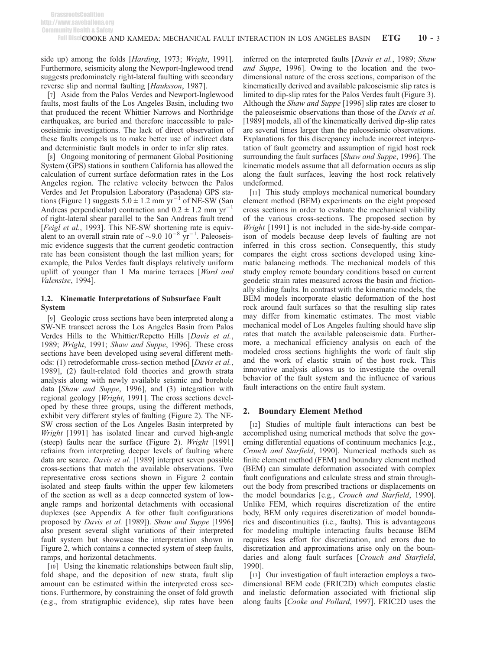side up) among the folds [Harding, 1973; Wright, 1991]. Furthermore, seismicity along the Newport-Inglewood trend suggests predominately right-lateral faulting with secondary reverse slip and normal faulting [Hauksson, 1987].

[7] Aside from the Palos Verdes and Newport-Inglewood faults, most faults of the Los Angeles Basin, including two that produced the recent Whittier Narrows and Northridge earthquakes, are buried and therefore inaccessible to paleoseisimic investigations. The lack of direct observation of these faults compels us to make better use of indirect data and deterministic fault models in order to infer slip rates.

[8] Ongoing monitoring of permanent Global Positioning System (GPS) stations in southern California has allowed the calculation of current surface deformation rates in the Los Angeles region. The relative velocity between the Palos Verdes and Jet Propulsion Laboratory (Pasadena) GPS stations (Figure 1) suggests  $5.0 \pm 1.2$  mm yr<sup>-1</sup> of NE-SW (San Andreas perpendicular) contraction and  $0.2 \pm 1.2$  mm yr<sup>-1</sup> of right-lateral shear parallel to the San Andreas fault trend [Feigl et al., 1993]. This NE-SW shortening rate is equivalent to an overall strain rate of  $\sim$ 9.0  $10^{-8}$  yr<sup>-1</sup>. Paleoseismic evidence suggests that the current geodetic contraction rate has been consistent though the last million years; for example, the Palos Verdes fault displays relatively uniform uplift of younger than 1 Ma marine terraces [Ward and Valensise, 1994].

## 1.2. Kinematic Interpretations of Subsurface Fault System

[9] Geologic cross sections have been interpreted along a SW-NE transect across the Los Angeles Basin from Palos Verdes Hills to the Whittier/Repetto Hills [Davis et al., 1989; Wright, 1991; Shaw and Suppe, 1996]. These cross sections have been developed using several different methods: (1) retrodeformable cross-section method [Davis et al., 1989], (2) fault-related fold theories and growth strata analysis along with newly available seismic and borehole data [Shaw and Suppe, 1996], and (3) integration with regional geology [Wright, 1991]. The cross sections developed by these three groups, using the different methods, exhibit very different styles of faulting (Figure 2). The NE-SW cross section of the Los Angeles Basin interpreted by Wright [1991] has isolated linear and curved high-angle (steep) faults near the surface (Figure 2). Wright [1991] refrains from interpreting deeper levels of faulting where data are scarce. Davis et al. [1989] interpret seven possible cross-sections that match the available observations. Two representative cross sections shown in Figure 2 contain isolated and steep faults within the upper few kilometers of the section as well as a deep connected system of lowangle ramps and horizontal detachments with occasional duplexes (see Appendix A for other fault configurations proposed by Davis et al. [1989]). Shaw and Suppe [1996] also present several slight variations of their interpreted fault system but showcase the interpretation shown in Figure 2, which contains a connected system of steep faults, ramps, and horizontal detachments.

[10] Using the kinematic relationships between fault slip, fold shape, and the deposition of new strata, fault slip amount can be estimated within the interpreted cross sections. Furthermore, by constraining the onset of fold growth (e.g., from stratigraphic evidence), slip rates have been

inferred on the interpreted faults [Davis et al., 1989; Shaw and Suppe, 1996]. Owing to the location and the twodimensional nature of the cross sections, comparison of the kinematically derived and available paleoseismic slip rates is limited to dip-slip rates for the Palos Verdes fault (Figure 3). Although the *Shaw and Suppe* [1996] slip rates are closer to the paleoseismic observations than those of the *Davis et al.* [1989] models, all of the kinematically derived dip-slip rates are several times larger than the paleoseismic observations. Explanations for this discrepancy include incorrect interpretation of fault geometry and assumption of rigid host rock surrounding the fault surfaces [Shaw and Suppe, 1996]. The kinematic models assume that all deformation occurs as slip along the fault surfaces, leaving the host rock relatively undeformed.

[11] This study employs mechanical numerical boundary element method (BEM) experiments on the eight proposed cross sections in order to evaluate the mechanical viability of the various cross-sections. The proposed section by Wright [1991] is not included in the side-by-side comparison of models because deep levels of faulting are not inferred in this cross section. Consequently, this study compares the eight cross sections developed using kinematic balancing methods. The mechanical models of this study employ remote boundary conditions based on current geodetic strain rates measured across the basin and frictionally sliding faults. In contrast with the kinematic models, the BEM models incorporate elastic deformation of the host rock around fault surfaces so that the resulting slip rates may differ from kinematic estimates. The most viable mechanical model of Los Angeles faulting should have slip rates that match the available paleoseismic data. Furthermore, a mechanical efficiency analysis on each of the modeled cross sections highlights the work of fault slip and the work of elastic strain of the host rock. This innovative analysis allows us to investigate the overall behavior of the fault system and the influence of various fault interactions on the entire fault system.

## 2. Boundary Element Method

[12] Studies of multiple fault interactions can best be accomplished using numerical methods that solve the governing differential equations of continuum mechanics [e.g., Crouch and Starfield, 1990]. Numerical methods such as finite element method (FEM) and boundary element method (BEM) can simulate deformation associated with complex fault configurations and calculate stress and strain throughout the body from prescribed tractions or displacements on the model boundaries [e.g., Crouch and Starfield, 1990]. Unlike FEM, which requires discretization of the entire body, BEM only requires discretization of model boundaries and discontinuities (i.e., faults). This is advantageous for modeling multiple interacting faults because BEM requires less effort for discretization, and errors due to discretization and approximations arise only on the boundaries and along fault surfaces [Crouch and Starfield, 1990].

[13] Our investigation of fault interaction employs a twodimensional BEM code (FRIC2D) which computes elastic and inelastic deformation associated with frictional slip along faults [Cooke and Pollard, 1997]. FRIC2D uses the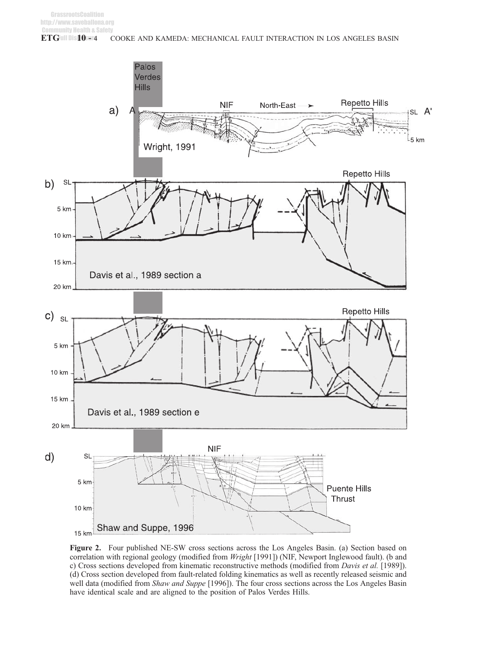

Figure 2. Four published NE-SW cross sections across the Los Angeles Basin. (a) Section based on correlation with regional geology (modified from Wright [1991]) (NIF, Newport Inglewood fault). (b and c) Cross sections developed from kinematic reconstructive methods (modified from Davis et al. [1989]). (d) Cross section developed from fault-related folding kinematics as well as recently released seismic and well data (modified from Shaw and Suppe [1996]). The four cross sections across the Los Angeles Basin have identical scale and are aligned to the position of Palos Verdes Hills.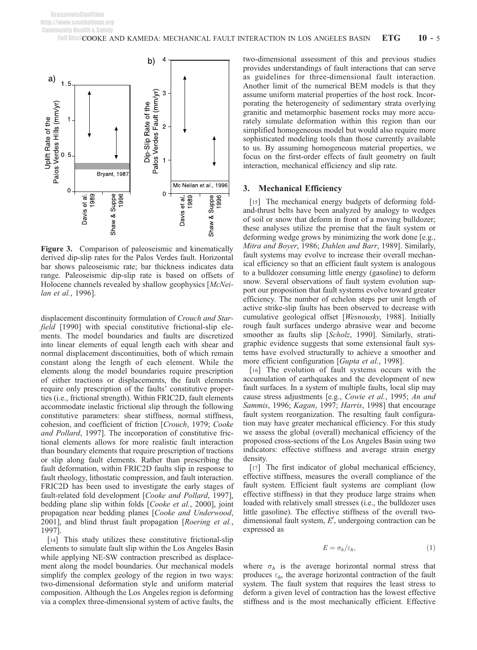

Figure 3. Comparison of paleoseismic and kinematically derived dip-slip rates for the Palos Verdes fault. Horizontal bar shows paleoseismic rate; bar thickness indicates data range. Paleoseismic dip-slip rate is based on offsets of Holocene channels revealed by shallow geophysics [McNeilan et al., 1996].

displacement discontinuity formulation of Crouch and Starfield [1990] with special constitutive frictional-slip elements. The model boundaries and faults are discretized into linear elements of equal length each with shear and normal displacement discontinuities, both of which remain constant along the length of each element. While the elements along the model boundaries require prescription of either tractions or displacements, the fault elements require only prescription of the faults' constitutive properties (i.e., frictional strength). Within FRIC2D, fault elements accommodate inelastic frictional slip through the following constitutive parameters: shear stiffness, normal stiffness, cohesion, and coefficient of friction [Crouch, 1979; Cooke and Pollard, 1997]. The incorporation of constitutive frictional elements allows for more realistic fault interaction than boundary elements that require prescription of tractions or slip along fault elements. Rather than prescribing the fault deformation, within FRIC2D faults slip in response to fault rheology, lithostatic compression, and fault interaction. FRIC2D has been used to investigate the early stages of fault-related fold development [Cooke and Pollard, 1997], bedding plane slip within folds [Cooke et al., 2000], joint propagation near bedding planes [Cooke and Underwood, 2001], and blind thrust fault propagation [Roering et al., 1997].

[14] This study utilizes these constitutive frictional-slip elements to simulate fault slip within the Los Angeles Basin while applying NE-SW contraction prescribed as displacement along the model boundaries. Our mechanical models simplify the complex geology of the region in two ways: two-dimensional deformation style and uniform material composition. Although the Los Angeles region is deforming via a complex three-dimensional system of active faults, the

two-dimensional assessment of this and previous studies provides understandings of fault interactions that can serve as guidelines for three-dimensional fault interaction. Another limit of the numerical BEM models is that they assume uniform material properties of the host rock. Incorporating the heterogeneity of sedimentary strata overlying granitic and metamorphic basement rocks may more accurately simulate deformation within this region than our simplified homogeneous model but would also require more sophisticated modeling tools than those currently available to us. By assuming homogeneous material properties, we focus on the first-order effects of fault geometry on fault interaction, mechanical efficiency and slip rate.

#### 3. Mechanical Efficiency

[15] The mechanical energy budgets of deforming foldand-thrust belts have been analyzed by analogy to wedges of soil or snow that deform in front of a moving bulldozer; these analyses utilize the premise that the fault system or deforming wedge grows by minimizing the work done [e.g., Mitra and Boyer, 1986; Dahlen and Barr, 1989]. Similarly, fault systems may evolve to increase their overall mechanical efficiency so that an efficient fault system is analogous to a bulldozer consuming little energy (gasoline) to deform snow. Several observations of fault system evolution support our proposition that fault systems evolve toward greater efficiency. The number of echelon steps per unit length of active strike-slip faults has been observed to decrease with cumulative geological offset [Wesnousky, 1988]. Initially rough fault surfaces undergo abrasive wear and become smoother as faults slip [Scholz, 1990]. Similarly, stratigraphic evidence suggests that some extensional fault systems have evolved structurally to achieve a smoother and more efficient configuration [Gupta et al., 1998].

[16] The evolution of fault systems occurs with the accumulation of earthquakes and the development of new fault surfaces. In a system of multiple faults, local slip may cause stress adjustments [e.g., Cowie et al., 1995; An and Sammis, 1996; Kagan, 1997; Harris, 1998] that encourage fault system reorganization. The resulting fault configuration may have greater mechanical efficiency. For this study we assess the global (overall) mechanical efficiency of the proposed cross-sections of the Los Angeles Basin using two indicators: effective stiffness and average strain energy density.

[17] The first indicator of global mechanical efficiency, effective stiffness, measures the overall compliance of the fault system. Efficient fault systems are compliant (low effective stiffness) in that they produce large strains when loaded with relatively small stresses (i.e., the bulldozer uses little gasoline). The effective stiffness of the overall twodimensional fault system,  $E'$ , undergoing contraction can be expressed as

$$
E = \sigma_h / \varepsilon_h,\tag{1}
$$

where  $\sigma_h$  is the average horizontal normal stress that produces  $\varepsilon_h$ , the average horizontal contraction of the fault system. The fault system that requires the least stress to deform a given level of contraction has the lowest effective stiffness and is the most mechanically efficient. Effective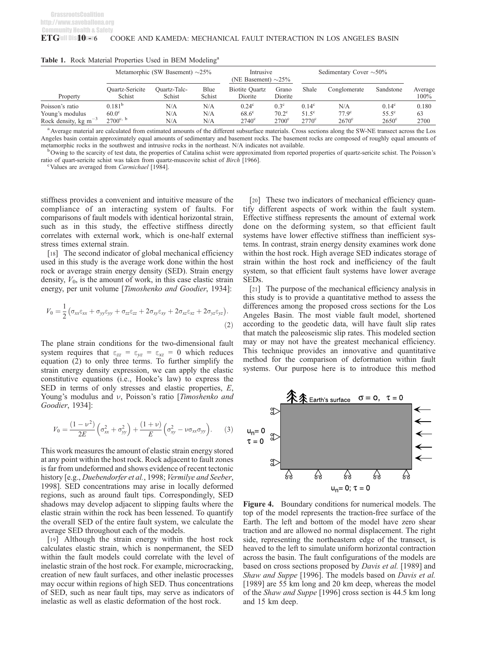|                                               | Metamorphic (SW Basement) $\sim$ 25% |                        |                | Intrusive<br>(NE Basement) $\sim$ 25% |                  | Sedimentary Cover $\sim 50\%$ |                |                |                    |
|-----------------------------------------------|--------------------------------------|------------------------|----------------|---------------------------------------|------------------|-------------------------------|----------------|----------------|--------------------|
| Property                                      | Quartz-Sericite<br>Schist            | Ouartz-Talc-<br>Schist | Blue<br>Schist | Biotite Quartz<br>Diorite             | Grano<br>Diorite | Shale                         | Conglomerate   | Sandstone      | Average<br>$100\%$ |
| Poisson's ratio                               | $0.181^{b}$                          | N/A                    | N/A            | $0.24^{\circ}$                        | $0.3^{\circ}$    | $0.14^{\circ}$                | N/A            | $0.14^{\circ}$ | 0.180              |
| Young's modulus                               | $60.0^\circ$                         | N/A                    | N/A            | $68.6^\circ$                          | $70.2^{\circ}$   | $51.5^\circ$                  | $77.9^{\circ}$ | $55.5^\circ$   | 63                 |
| Rock density, kg m <sup><math>-3</math></sup> | $2700^{\circ}$ , b                   | N/A                    | N/A            | $2740^\circ$                          | $2700^{\circ}$   | $2770^{\circ}$                | $2670^{\circ}$ | $2650^\circ$   | 2700               |

Table 1. Rock Material Properties Used in BEM Modeling<sup>a</sup>

a Average material are calculated from estimated amounts of the different subsurface materials. Cross sections along the SW-NE transect across the Los Angeles basin contain approximately equal amounts of sedimentary and basement rocks. The basement rocks are composed of roughly equal amounts of metamorphic rocks in the southwest and intrusive rocks in the northeast. N/A indicates not available. <sup>b</sup>

<sup>b</sup>Owing to the scarcity of test data, the properties of Catalina schist were approximated from reported properties of quartz-sericite schist. The Poisson's ratio of quart-sericite schist was taken from quartz-muscovite schist of *Birch* [1966].

<sup>c</sup>Values are averaged from Carmichael [1984].

stiffness provides a convenient and intuitive measure of the compliance of an interacting system of faults. For comparisons of fault models with identical horizontal strain, such as in this study, the effective stiffness directly correlates with external work, which is one-half external stress times external strain.

[18] The second indicator of global mechanical efficiency used in this study is the average work done within the host rock or average strain energy density (SED). Strain energy density,  $V_0$ , is the amount of work, in this case elastic strain energy, per unit volume [Timoshenko and Goodier, 1934]:

$$
V_0 = \frac{1}{2} \left( \sigma_{xx} \varepsilon_{xx} + \sigma_{yy} \varepsilon_{yy} + \sigma_{zz} \varepsilon_{zz} + 2 \sigma_{xy} \varepsilon_{xy} + 2 \sigma_{xz} \varepsilon_{xz} + 2 \sigma_{yz} \varepsilon_{yz} \right).
$$
\n(2)

The plane strain conditions for the two-dimensional fault system requires that  $\varepsilon_{zz} = \varepsilon_{yz} = \varepsilon_{xz} = 0$  which reduces equation (2) to only three terms. To further simplify the strain energy density expression, we can apply the elastic constitutive equations (i.e., Hooke's law) to express the SED in terms of only stresses and elastic properties, E, Young's modulus and  $\nu$ , Poisson's ratio [Timoshenko and Goodier, 1934]:

$$
V_0 = \frac{(1 - \nu^2)}{2E} \left( \sigma_{xx}^2 + \sigma_{yy}^2 \right) + \frac{(1 + \nu)}{E} \left( \sigma_{xy}^2 - \nu \sigma_{xx} \sigma_{yy} \right).
$$
 (3)

This work measures the amount of elastic strain energy stored at any point within the host rock. Rock adjacent to fault zones is far from undeformed and shows evidence of recent tectonic history [e.g., Duebendorfer et al., 1998; Vermilye and Seeber, 1998]. SED concentrations may arise in locally deformed regions, such as around fault tips. Correspondingly, SED shadows may develop adjacent to slipping faults where the elastic strain within the rock has been lessened. To quantify the overall SED of the entire fault system, we calculate the average SED throughout each of the models.

[19] Although the strain energy within the host rock calculates elastic strain, which is nonpermanent, the SED within the fault models could correlate with the level of inelastic strain of the host rock. For example, microcracking, creation of new fault surfaces, and other inelastic processes may occur within regions of high SED. Thus concentrations of SED, such as near fault tips, may serve as indicators of inelastic as well as elastic deformation of the host rock.

[20] These two indicators of mechanical efficiency quantify different aspects of work within the fault system. Effective stiffness represents the amount of external work done on the deforming system, so that efficient fault systems have lower effective stiffness than inefficient systems. In contrast, strain energy density examines work done within the host rock. High average SED indicates storage of strain within the host rock and inefficiency of the fault system, so that efficient fault systems have lower average SEDs.

[21] The purpose of the mechanical efficiency analysis in this study is to provide a quantitative method to assess the differences among the proposed cross sections for the Los Angeles Basin. The most viable fault model, shortened according to the geodetic data, will have fault slip rates that match the paleoseismic slip rates. This modeled section may or may not have the greatest mechanical efficiency. This technique provides an innovative and quantitative method for the comparison of deformation within fault systems. Our purpose here is to introduce this method



Figure 4. Boundary conditions for numerical models. The top of the model represents the traction-free surface of the Earth. The left and bottom of the model have zero shear traction and are allowed no normal displacement. The right side, representing the northeastern edge of the transect, is heaved to the left to simulate uniform horizontal contraction across the basin. The fault configurations of the models are based on cross sections proposed by *Davis et al.* [1989] and Shaw and Suppe [1996]. The models based on Davis et al. [1989] are 55 km long and 20 km deep, whereas the model of the Shaw and Suppe [1996] cross section is 44.5 km long and 15 km deep.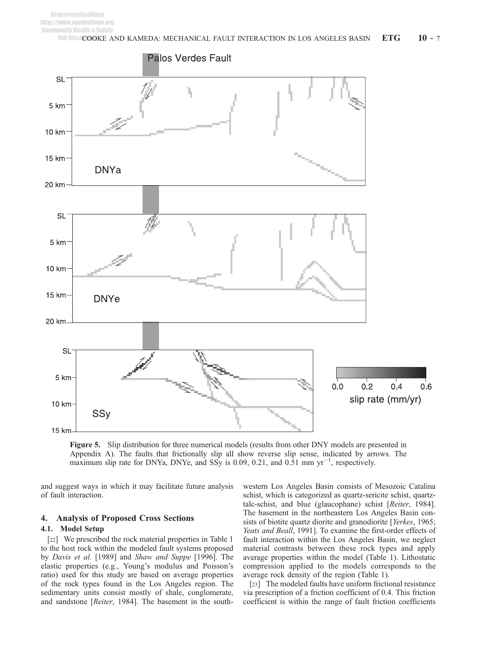



and suggest ways in which it may facilitate future analysis of fault interaction.

## 4. Analysis of Proposed Cross Sections

## 4.1. Model Setup

[22] We prescribed the rock material properties in Table 1 to the host rock within the modeled fault systems proposed by Davis et al. [1989] and Shaw and Suppe [1996]. The elastic properties (e.g., Young's modulus and Poisson's ratio) used for this study are based on average properties of the rock types found in the Los Angeles region. The sedimentary units consist mostly of shale, conglomerate, and sandstone [Reiter, 1984]. The basement in the southwestern Los Angeles Basin consists of Mesozoic Catalina schist, which is categorized as quartz-sericite schist, quartztalc-schist, and blue (glaucophane) schist [Reiter, 1984]. The basement in the northeastern Los Angeles Basin consists of biotite quartz diorite and granodiorite [Yerkes, 1965; Yeats and Beall, 1991]. To examine the first-order effects of fault interaction within the Los Angeles Basin, we neglect material contrasts between these rock types and apply average properties within the model (Table 1). Lithostatic compression applied to the models corresponds to the average rock density of the region (Table 1).

[23] The modeled faults have uniform frictional resistance via prescription of a friction coefficient of 0.4. This friction coefficient is within the range of fault friction coefficients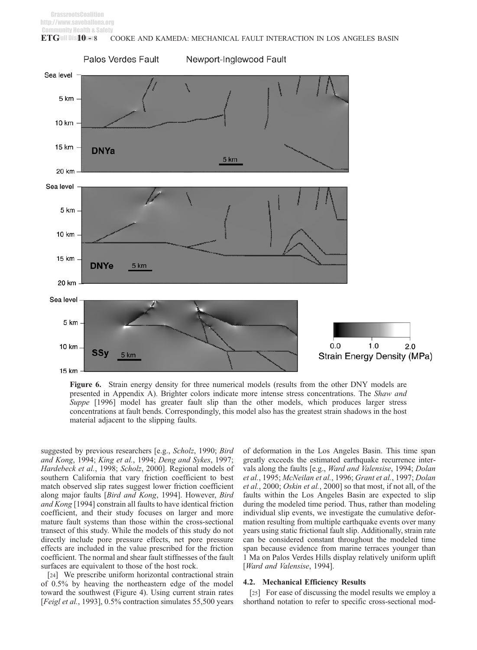



Figure 6. Strain energy density for three numerical models (results from the other DNY models are presented in Appendix A). Brighter colors indicate more intense stress concentrations. The Shaw and Suppe [1996] model has greater fault slip than the other models, which produces larger stress concentrations at fault bends. Correspondingly, this model also has the greatest strain shadows in the host material adjacent to the slipping faults.

suggested by previous researchers [e.g., Scholz, 1990; Bird and Kong, 1994; King et al., 1994; Deng and Sykes, 1997; Hardebeck et al., 1998; Scholz, 2000]. Regional models of southern California that vary friction coefficient to best match observed slip rates suggest lower friction coefficient along major faults [Bird and Kong, 1994]. However, Bird and Kong [1994] constrain all faults to have identical friction coefficient, and their study focuses on larger and more mature fault systems than those within the cross-sectional transect of this study. While the models of this study do not directly include pore pressure effects, net pore pressure effects are included in the value prescribed for the friction coefficient. The normal and shear fault stiffnesses of the fault surfaces are equivalent to those of the host rock.

[24] We prescribe uniform horizontal contractional strain of 0.5% by heaving the northeastern edge of the model toward the southwest (Figure 4). Using current strain rates [Feigl et al., 1993], 0.5% contraction simulates 55,500 years of deformation in the Los Angeles Basin. This time span greatly exceeds the estimated earthquake recurrence intervals along the faults [e.g., Ward and Valensise, 1994; Dolan et al., 1995; McNeilan et al., 1996; Grant et al., 1997; Dolan et al., 2000; Oskin et al., 2000] so that most, if not all, of the faults within the Los Angeles Basin are expected to slip during the modeled time period. Thus, rather than modeling individual slip events, we investigate the cumulative deformation resulting from multiple earthquake events over many years using static frictional fault slip. Additionally, strain rate can be considered constant throughout the modeled time span because evidence from marine terraces younger than 1 Ma on Palos Verdes Hills display relatively uniform uplift [Ward and Valensise, 1994].

#### 4.2. Mechanical Efficiency Results

[25] For ease of discussing the model results we employ a shorthand notation to refer to specific cross-sectional mod-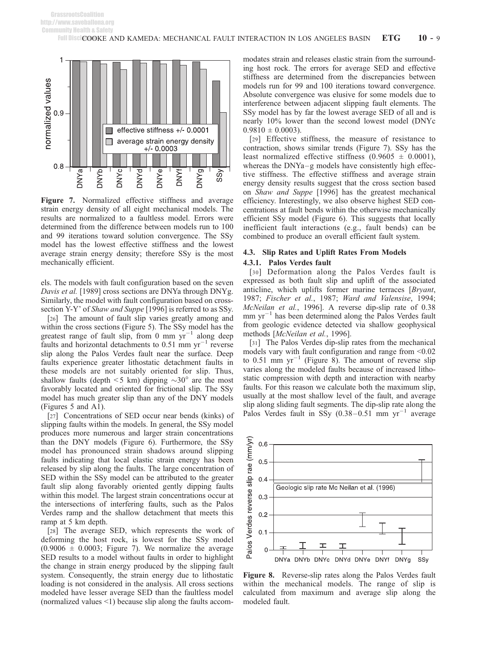

Figure 7. Normalized effective stiffness and average strain energy density of all eight mechanical models. The results are normalized to a faultless model. Errors were determined from the difference between models run to 100 and 99 iterations toward solution convergence. The SSy model has the lowest effective stiffness and the lowest average strain energy density; therefore SSy is the most mechanically efficient.

els. The models with fault configuration based on the seven Davis et al. [1989] cross sections are DNYa through DNYg. Similarly, the model with fault configuration based on crosssection Y-Y' of Shaw and Suppe [1996] is referred to as SSy.

[26] The amount of fault slip varies greatly among and within the cross sections (Figure 5). The SSy model has the greatest range of fault slip, from 0 mm  $yr^{-1}$  along deep faults and horizontal detachments to  $0.51$  mm yr<sup>-1</sup> reverse slip along the Palos Verdes fault near the surface. Deep faults experience greater lithostatic detachment faults in these models are not suitably oriented for slip. Thus, shallow faults (depth  $\leq 5$  km) dipping  $\sim 30^\circ$  are the most favorably located and oriented for frictional slip. The SSy model has much greater slip than any of the DNY models (Figures 5 and A1).

[27] Concentrations of SED occur near bends (kinks) of slipping faults within the models. In general, the SSy model produces more numerous and larger strain concentrations than the DNY models (Figure 6). Furthermore, the SSy model has pronounced strain shadows around slipping faults indicating that local elastic strain energy has been released by slip along the faults. The large concentration of SED within the SSy model can be attributed to the greater fault slip along favorably oriented gently dipping faults within this model. The largest strain concentrations occur at the intersections of interfering faults, such as the Palos Verdes ramp and the shallow detachment that meets this ramp at 5 km depth.

[28] The average SED, which represents the work of deforming the host rock, is lowest for the SSy model  $(0.9006 \pm 0.0003$ ; Figure 7). We normalize the average SED results to a model without faults in order to highlight the change in strain energy produced by the slipping fault system. Consequently, the strain energy due to lithostatic loading is not considered in the analysis. All cross sections modeled have lesser average SED than the faultless model (normalized values <1) because slip along the faults accom-

modates strain and releases elastic strain from the surrounding host rock. The errors for average SED and effective stiffness are determined from the discrepancies between models run for 99 and 100 iterations toward convergence. Absolute convergence was elusive for some models due to interference between adjacent slipping fault elements. The SSy model has by far the lowest average SED of all and is nearly 10% lower than the second lowest model (DNYc  $0.9810 \pm 0.0003$ ).

[29] Effective stiffness, the measure of resistance to contraction, shows similar trends (Figure 7). SSy has the least normalized effective stiffness  $(0.9605 \pm 0.0001)$ , whereas the  $DNYa-g$  models have consistently high effective stiffness. The effective stiffness and average strain energy density results suggest that the cross section based on Shaw and Suppe [1996] has the greatest mechanical efficiency. Interestingly, we also observe highest SED concentrations at fault bends within the otherwise mechanically efficient SSy model (Figure 6). This suggests that locally inefficient fault interactions (e.g., fault bends) can be combined to produce an overall efficient fault system.

## 4.3. Slip Rates and Uplift Rates From Models 4.3.1. Palos Verdes fault

[30] Deformation along the Palos Verdes fault is expressed as both fault slip and uplift of the associated anticline, which uplifts former marine terraces [Bryant, 1987; Fischer et al., 1987; Ward and Valensise, 1994; McNeilan et al., 1996]. A reverse dip-slip rate of 0.38 mm yr<sup>-1</sup> has been determined along the Palos Verdes fault from geologic evidence detected via shallow geophysical methods [McNeilan et al., 1996].

[31] The Palos Verdes dip-slip rates from the mechanical models vary with fault configuration and range from <0.02 to 0.51 mm  $yr^{-1}$  (Figure 8). The amount of reverse slip varies along the modeled faults because of increased lithostatic compression with depth and interaction with nearby faults. For this reason we calculate both the maximum slip, usually at the most shallow level of the fault, and average slip along sliding fault segments. The dip-slip rate along the Palos Verdes fault in SSy  $(0.38-0.51$  mm yr<sup>-1</sup> average



Figure 8. Reverse-slip rates along the Palos Verdes fault within the mechanical models. The range of slip is calculated from maximum and average slip along the modeled fault.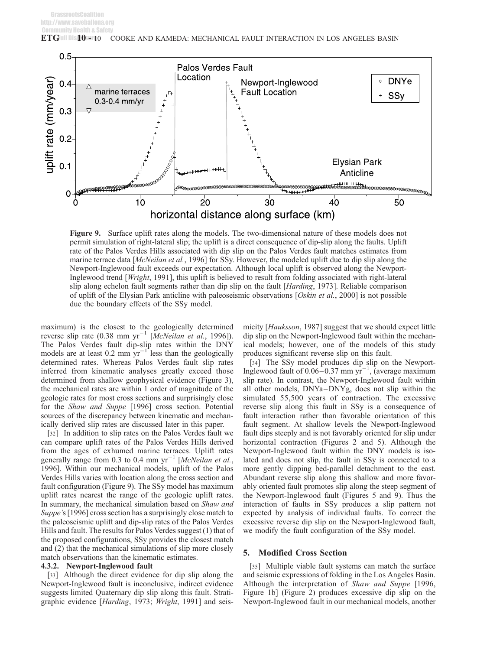

ETGUIDIS10**:10** COOKE AND KAMEDA: MECHANICAL FAULT INTERACTION IN LOS ANGELES BASIN

Figure 9. Surface uplift rates along the models. The two-dimensional nature of these models does not permit simulation of right-lateral slip; the uplift is a direct consequence of dip-slip along the faults. Uplift rate of the Palos Verdes Hills associated with dip slip on the Palos Verdes fault matches estimates from marine terrace data [McNeilan et al., 1996] for SSy. However, the modeled uplift due to dip slip along the Newport-Inglewood fault exceeds our expectation. Although local uplift is observed along the Newport-Inglewood trend [Wright, 1991], this uplift is believed to result from folding associated with right-lateral slip along echelon fault segments rather than dip slip on the fault [Harding, 1973]. Reliable comparison of uplift of the Elysian Park anticline with paleoseismic observations [Oskin et al., 2000] is not possible due the boundary effects of the SSy model.

maximum) is the closest to the geologically determined reverse slip rate (0.38 mm yr<sup>-1</sup> [McNeilan et al., 1996]). The Palos Verdes fault dip-slip rates within the DNY models are at least  $0.2 \text{ mm} \text{ yr}^{-1}$  less than the geologically determined rates. Whereas Palos Verdes fault slip rates inferred from kinematic analyses greatly exceed those determined from shallow geophysical evidence (Figure 3), the mechanical rates are within 1 order of magnitude of the geologic rates for most cross sections and surprisingly close for the Shaw and Suppe [1996] cross section. Potential sources of the discrepancy between kinematic and mechanically derived slip rates are discussed later in this paper.

[32] In addition to slip rates on the Palos Verdes fault we can compare uplift rates of the Palos Verdes Hills derived from the ages of exhumed marine terraces. Uplift rates generally range from 0.3 to 0.4 mm  $yr^{-1}$  [McNeilan et al., 1996]. Within our mechanical models, uplift of the Palos Verdes Hills varies with location along the cross section and fault configuration (Figure 9). The SSy model has maximum uplift rates nearest the range of the geologic uplift rates. In summary, the mechanical simulation based on *Shaw and* Suppe's [1996] cross section has a surprisingly close match to the paleoseismic uplift and dip-slip rates of the Palos Verdes Hills and fault. The results for Palos Verdes suggest (1) that of the proposed configurations, SSy provides the closest match and (2) that the mechanical simulations of slip more closely match observations than the kinematic estimates.

#### 4.3.2. Newport-Inglewood fault

[33] Although the direct evidence for dip slip along the Newport-Inglewood fault is inconclusive, indirect evidence suggests limited Quaternary dip slip along this fault. Stratigraphic evidence [Harding, 1973; Wright, 1991] and seismicity [Hauksson, 1987] suggest that we should expect little dip slip on the Newport-Inglewood fault within the mechanical models; however, one of the models of this study produces significant reverse slip on this fault.

[34] The SSy model produces dip slip on the Newport-Inglewood fault of  $0.06-0.37$  mm yr<sup>-1</sup>, (average maximum slip rate). In contrast, the Newport-Inglewood fault within all other models, DNYa –DNYg, does not slip within the simulated 55,500 years of contraction. The excessive reverse slip along this fault in SSy is a consequence of fault interaction rather than favorable orientation of this fault segment. At shallow levels the Newport-Inglewood fault dips steeply and is not favorably oriented for slip under horizontal contraction (Figures 2 and 5). Although the Newport-Inglewood fault within the DNY models is isolated and does not slip, the fault in SSy is connected to a more gently dipping bed-parallel detachment to the east. Abundant reverse slip along this shallow and more favorably oriented fault promotes slip along the steep segment of the Newport-Inglewood fault (Figures 5 and 9). Thus the interaction of faults in SSy produces a slip pattern not expected by analysis of individual faults. To correct the excessive reverse dip slip on the Newport-Inglewood fault, we modify the fault configuration of the SSy model.

## 5. Modified Cross Section

[35] Multiple viable fault systems can match the surface and seismic expressions of folding in the Los Angeles Basin. Although the interpretation of Shaw and Suppe [1996, Figure 1b] (Figure 2) produces excessive dip slip on the Newport-Inglewood fault in our mechanical models, another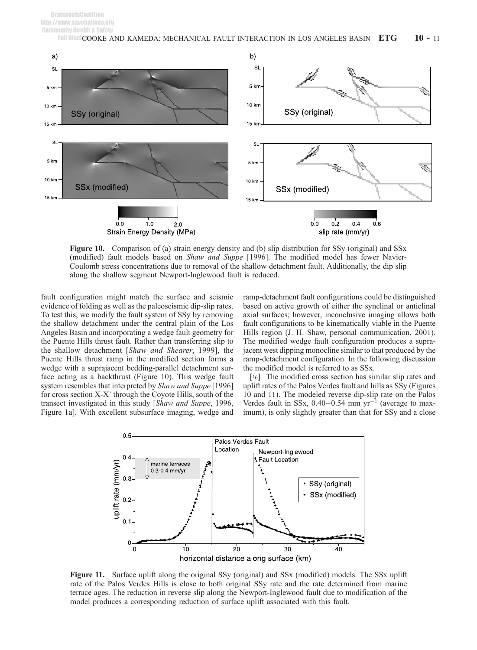

Figure 10. Comparison of (a) strain energy density and (b) slip distribution for SSy (original) and SSx (modified) fault models based on Shaw and Suppe [1996]. The modified model has fewer Navier-Coulomb stress concentrations due to removal of the shallow detachment fault. Additionally, the dip slip along the shallow segment Newport-Inglewood fault is reduced.

fault configuration might match the surface and seismic evidence of folding as well as the paleoseismic dip-slip rates. To test this, we modify the fault system of SSy by removing the shallow detachment under the central plain of the Los Angeles Basin and incorporating a wedge fault geometry for the Puente Hills thrust fault. Rather than transferring slip to the shallow detachment [Shaw and Shearer, 1999], the Puente Hills thrust ramp in the modified section forms a wedge with a suprajacent bedding-parallel detachment surface acting as a backthrust (Figure 10). This wedge fault system resembles that interpreted by Shaw and Suppe [1996] for cross section X-X' through the Coyote Hills, south of the transect investigated in this study [Shaw and Suppe, 1996, Figure 1a]. With excellent subsurface imaging, wedge and

ramp-detachment fault configurations could be distinguished based on active growth of either the synclinal or anticlinal axial surfaces; however, inconclusive imaging allows both fault configurations to be kinematically viable in the Puente Hills region (J. H. Shaw, personal communication, 2001). The modified wedge fault configuration produces a suprajacent west dipping monocline similar to that produced by the ramp-detachment configuration. In the following discussion the modified model is referred to as SSx.

[36] The modified cross section has similar slip rates and uplift rates of the Palos Verdes fault and hills as SSy (Figures 10 and 11). The modeled reverse dip-slip rate on the Palos Verdes fault in SSx,  $0.40 - 0.54$  mm  $yr^{-1}$  (average to maximum), is only slightly greater than that for SSy and a close



Figure 11. Surface uplift along the original SSy (original) and SSx (modified) models. The SSx uplift rate of the Palos Verdes Hills is close to both original SSy rate and the rate determined from marine terrace ages. The reduction in reverse slip along the Newport-Inglewood fault due to modification of the model produces a corresponding reduction of surface uplift associated with this fault.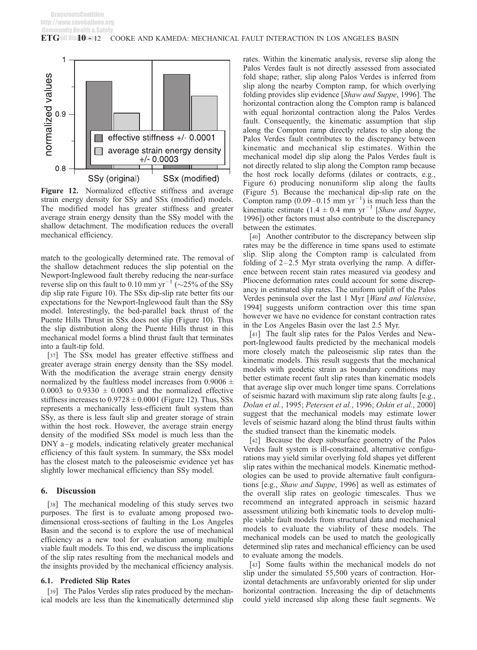

Figure 12. Normalized effective stiffness and average strain energy density for SSy and SSx (modified) models. The modified model has greater stiffness and greater average strain energy density than the SSy model with the shallow detachment. The modification reduces the overall mechanical efficiency.

match to the geologically determined rate. The removal of the shallow detachment reduces the slip potential on the Newport-Inglewood fault thereby reducing the near-surface reverse slip on this fault to 0.10 mm yr<sup>-1</sup> ( $\sim$ 25% of the SSy dip slip rate Figure 10). The SSx dip-slip rate better fits our expectations for the Newport-Inglewood fault than the SSy model. Interestingly, the bed-parallel back thrust of the Puente Hills Thrust in SSx does not slip (Figure 10). Thus the slip distribution along the Puente Hills thrust in this mechanical model forms a blind thrust fault that terminates into a fault-tip fold.

[37] The SSx model has greater effective stiffness and greater average strain energy density than the SSy model. With the modification the average strain energy density normalized by the faultless model increases from 0.9006  $\pm$ 0.0003 to 0.9330  $\pm$  0.0003 and the normalized effective stiffness increases to  $0.9728 \pm 0.0001$  (Figure 12). Thus, SSx represents a mechanically less-efficient fault system than SSy, as there is less fault slip and greater storage of strain within the host rock. However, the average strain energy density of the modified SSx model is much less than the  $DNY$  a-g models, indicating relatively greater mechanical efficiency of this fault system. In summary, the SSx model has the closest match to the paleoseismic evidence yet has slightly lower mechanical efficiency than SSy model.

## 6. Discussion

[38] The mechanical modeling of this study serves two purposes. The first is to evaluate among proposed twodimensional cross-sections of faulting in the Los Angeles Basin and the second is to explore the use of mechanical efficiency as a new tool for evaluation among multiple viable fault models. To this end, we discuss the implications of the slip rates resulting from the mechanical models and the insights provided by the mechanical efficiency analysis.

## 6.1. Predicted Slip Rates

[39] The Palos Verdes slip rates produced by the mechanical models are less than the kinematically determined slip rates. Within the kinematic analysis, reverse slip along the Palos Verdes fault is not directly assessed from associated fold shape; rather, slip along Palos Verdes is inferred from slip along the nearby Compton ramp, for which overlying folding provides slip evidence [Shaw and Suppe, 1996]. The horizontal contraction along the Compton ramp is balanced with equal horizontal contraction along the Palos Verdes fault. Consequently, the kinematic assumption that slip along the Compton ramp directly relates to slip along the Palos Verdes fault contributes to the discrepancy between kinematic and mechanical slip estimates. Within the mechanical model dip slip along the Palos Verdes fault is not directly related to slip along the Compton ramp because the host rock locally deforms (dilates or contracts, e.g., Figure 6) producing nonuniform slip along the faults (Figure 5). Because the mechanical dip-slip rate on the Compton ramp  $(0.09-0.15 \text{ mm yr}^{-1})$  is much less than the kinematic estimate (1.4  $\pm$  0.4 mm yr<sup>-1</sup> [Shaw and Suppe, 1996]) other factors must also contribute to the discrepancy between the estimates.

[40] Another contributor to the discrepancy between slip rates may be the difference in time spans used to estimate slip. Slip along the Compton ramp is calculated from folding of  $2-2.5$  Myr strata overlying the ramp. A difference between recent stain rates measured via geodesy and Pliocene deformation rates could account for some discrepancy in estimated slip rates. The uniform uplift of the Palos Verdes peninsula over the last 1 Myr [Ward and Valensise, 1994] suggests uniform contraction over this time span however we have no evidence for constant contraction rates in the Los Angeles Basin over the last 2.5 Myr.

[41] The fault slip rates for the Palos Verdes and Newport-Inglewood faults predicted by the mechanical models more closely match the paleoseismic slip rates than the kinematic models. This result suggests that the mechanical models with geodetic strain as boundary conditions may better estimate recent fault slip rates than kinematic models that average slip over much longer time spans. Correlations of seismic hazard with maximum slip rate along faults [e.g., Dolan et al., 1995; Petersen et al., 1996; Oskin et al., 2000] suggest that the mechanical models may estimate lower levels of seismic hazard along the blind thrust faults within the studied transect than the kinematic models.

[42] Because the deep subsurface geometry of the Palos Verdes fault system is ill-constrained, alternative configurations may yield similar overlying fold shapes yet different slip rates within the mechanical models. Kinematic methodologies can be used to provide alternative fault configurations [e.g., Shaw and Suppe, 1996] as well as estimates of the overall slip rates on geologic timescales. Thus we recommend an integrated approach in seismic hazard assessment utilizing both kinematic tools to develop multiple viable fault models from structural data and mechanical models to evaluate the viability of these models. The mechanical models can be used to match the geologically determined slip rates and mechanical efficiency can be used to evaluate among the models.

[43] Some faults within the mechanical models do not slip under the simulated 55,500 years of contraction. Horizontal detachments are unfavorably oriented for slip under horizontal contraction. Increasing the dip of detachments could yield increased slip along these fault segments. We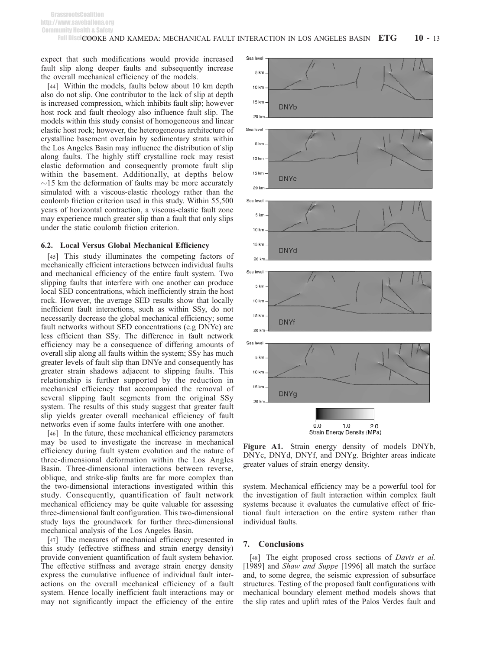expect that such modifications would provide increased fault slip along deeper faults and subsequently increase the overall mechanical efficiency of the models.

[44] Within the models, faults below about 10 km depth also do not slip. One contributor to the lack of slip at depth is increased compression, which inhibits fault slip; however host rock and fault rheology also influence fault slip. The models within this study consist of homogeneous and linear elastic host rock; however, the heterogeneous architecture of crystalline basement overlain by sedimentary strata within the Los Angeles Basin may influence the distribution of slip along faults. The highly stiff crystalline rock may resist elastic deformation and consequently promote fault slip within the basement. Additionally, at depths below  $\sim$ 15 km the deformation of faults may be more accurately simulated with a viscous-elastic rheology rather than the coulomb friction criterion used in this study. Within 55,500 years of horizontal contraction, a viscous-elastic fault zone may experience much greater slip than a fault that only slips under the static coulomb friction criterion.

#### 6.2. Local Versus Global Mechanical Efficiency

[45] This study illuminates the competing factors of mechanically efficient interactions between individual faults and mechanical efficiency of the entire fault system. Two slipping faults that interfere with one another can produce local SED concentrations, which inefficiently strain the host rock. However, the average SED results show that locally inefficient fault interactions, such as within SSy, do not necessarily decrease the global mechanical efficiency; some fault networks without SED concentrations (e.g DNYe) are less efficient than SSy. The difference in fault network efficiency may be a consequence of differing amounts of overall slip along all faults within the system; SSy has much greater levels of fault slip than DNYe and consequently has greater strain shadows adjacent to slipping faults. This relationship is further supported by the reduction in mechanical efficiency that accompanied the removal of several slipping fault segments from the original SSy system. The results of this study suggest that greater fault slip yields greater overall mechanical efficiency of fault networks even if some faults interfere with one another.

[46] In the future, these mechanical efficiency parameters may be used to investigate the increase in mechanical efficiency during fault system evolution and the nature of three-dimensional deformation within the Los Angles Basin. Three-dimensional interactions between reverse, oblique, and strike-slip faults are far more complex than the two-dimensional interactions investigated within this study. Consequently, quantification of fault network mechanical efficiency may be quite valuable for assessing three-dimensional fault configuration. This two-dimensional study lays the groundwork for further three-dimensional mechanical analysis of the Los Angeles Basin.

[47] The measures of mechanical efficiency presented in this study (effective stiffness and strain energy density) provide convenient quantification of fault system behavior. The effective stiffness and average strain energy density express the cumulative influence of individual fault interactions on the overall mechanical efficiency of a fault system. Hence locally inefficient fault interactions may or may not significantly impact the efficiency of the entire



Figure A1. Strain energy density of models DNYb, DNYc, DNYd, DNYf, and DNYg. Brighter areas indicate greater values of strain energy density.

system. Mechanical efficiency may be a powerful tool for the investigation of fault interaction within complex fault systems because it evaluates the cumulative effect of frictional fault interaction on the entire system rather than individual faults.

## 7. Conclusions

[48] The eight proposed cross sections of *Davis et al.* [1989] and Shaw and Suppe [1996] all match the surface and, to some degree, the seismic expression of subsurface structures. Testing of the proposed fault configurations with mechanical boundary element method models shows that the slip rates and uplift rates of the Palos Verdes fault and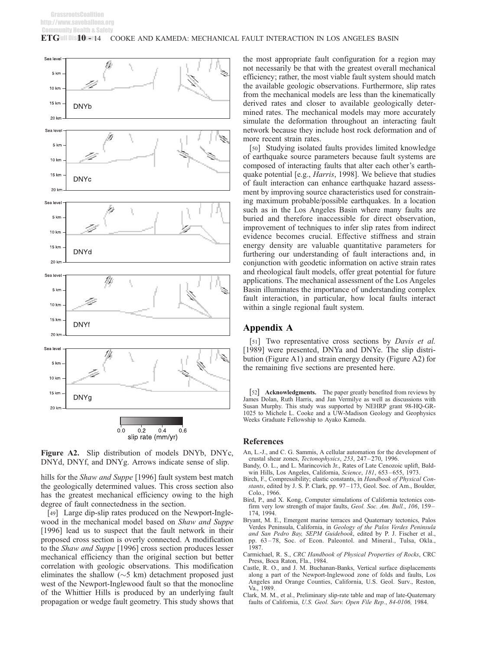

Figure A2. Slip distribution of models DNYb, DNYc, DNYd, DNYf, and DNYg. Arrows indicate sense of slip.

hills for the Shaw and Suppe [1996] fault system best match the geologically determined values. This cross section also has the greatest mechanical efficiency owing to the high degree of fault connectedness in the section.

[49] Large dip-slip rates produced on the Newport-Inglewood in the mechanical model based on Shaw and Suppe [1996] lead us to suspect that the fault network in their proposed cross section is overly connected. A modification to the Shaw and Suppe [1996] cross section produces lesser mechanical efficiency than the original section but better correlation with geologic observations. This modification eliminates the shallow  $(\sim 5 \text{ km})$  detachment proposed just west of the Newport-Inglewood fault so that the monocline of the Whittier Hills is produced by an underlying fault propagation or wedge fault geometry. This study shows that the most appropriate fault configuration for a region may not necessarily be that with the greatest overall mechanical efficiency; rather, the most viable fault system should match the available geologic observations. Furthermore, slip rates from the mechanical models are less than the kinematically derived rates and closer to available geologically determined rates. The mechanical models may more accurately simulate the deformation throughout an interacting fault network because they include host rock deformation and of more recent strain rates.

[50] Studying isolated faults provides limited knowledge of earthquake source parameters because fault systems are composed of interacting faults that alter each other's earthquake potential [e.g., *Harris*, 1998]. We believe that studies of fault interaction can enhance earthquake hazard assessment by improving source characteristics used for constraining maximum probable/possible earthquakes. In a location such as in the Los Angeles Basin where many faults are buried and therefore inaccessible for direct observation, improvement of techniques to infer slip rates from indirect evidence becomes crucial. Effective stiffness and strain energy density are valuable quantitative parameters for furthering our understanding of fault interactions and, in conjunction with geodetic information on active strain rates and rheological fault models, offer great potential for future applications. The mechanical assessment of the Los Angeles Basin illuminates the importance of understanding complex fault interaction, in particular, how local faults interact within a single regional fault system.

## Appendix A

[51] Two representative cross sections by *Davis et al.* [1989] were presented, DNYa and DNYe. The slip distribution (Figure A1) and strain energy density (Figure A2) for the remaining five sections are presented here.

[52] Acknowledgments. The paper greatly benefited from reviews by James Dolan, Ruth Harris, and Jan Vermilye as well as discussions with Susan Murphy. This study was supported by NEHRP grant 98-HQ-GR-1025 to Michele L. Cooke and a UW-Madison Geology and Geophysics Weeks Graduate Fellowship to Ayako Kameda.

#### References

- An, L.-J., and C. G. Sammis, A cellular automation for the development of crustal shear zones, Tectonophysics, 253, 247 – 270, 1996.
- Bandy, O. L., and L. Marincovich Jr., Rates of Late Cenozoic uplift, Baldwin Hills, Los Angeles, California, Science, 181, 653 – 655, 1973.
- Birch, F., Compressibility; elastic constants, in Handbook of Physical Constants, edited by J. S. P. Clark, pp. 97-173, Geol. Soc. of Am., Boulder, Colo., 1966.
- Bird, P., and X. Kong, Computer simulations of California tectonics confirm very low strength of major faults, Geol. Soc. Am. Bull., 106, 159 – 174, 1994.
- Bryant, M. E., Emergent marine terraces and Quaternary tectonics, Palos Verdes Peninsula, California, in Geology of the Palos Verdes Peninsula and San Pedro Bay, SEPM Guidebook, edited by P. J. Fischer et al., pp. 63 – 78, Soc. of Econ. Paleontol. and Mineral., Tulsa, Okla., 1987.
- Carmichael, R. S., CRC Handbook of Physical Properties of Rocks, CRC Press, Boca Raton, Fla., 1984.
- Castle, R. O., and J. M. Buchanan-Banks, Vertical surface displacements along a part of the Newport-Inglewood zone of folds and faults, Los Angeles and Orange Counties, California, U.S. Geol. Surv., Reston, Va., 1989.
- Clark, M. M., et al., Preliminary slip-rate table and map of late-Quaternary faults of California, U.S. Geol. Surv. Open File Rep., 84-0106, 1984.